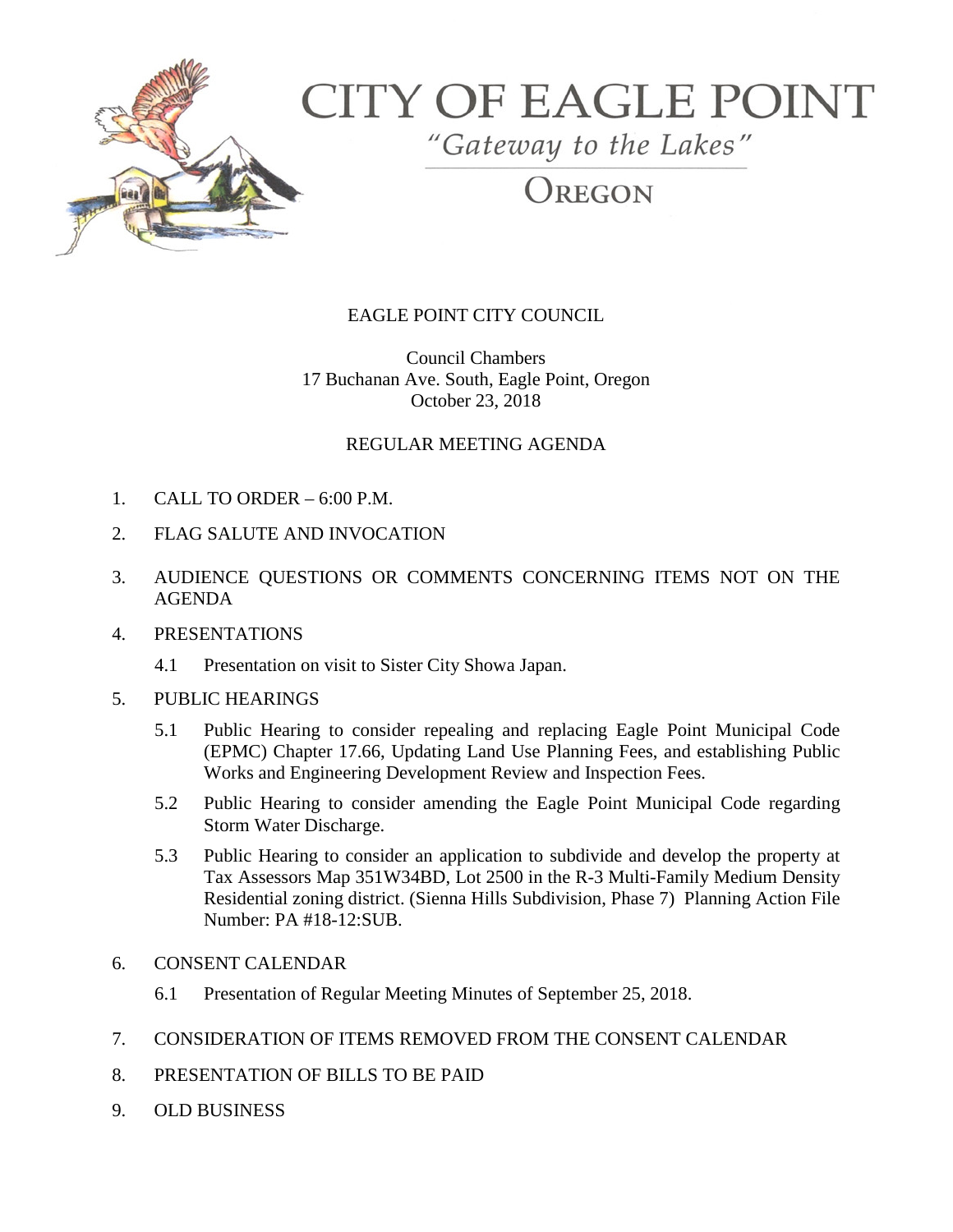

# **CITY OF EAGLE POINT**

"Gateway to the Lakes"

REGON

# EAGLE POINT CITY COUNCIL

Council Chambers 17 Buchanan Ave. South, Eagle Point, Oregon October 23, 2018

### REGULAR MEETING AGENDA

- 1. CALL TO ORDER 6:00 P.M.
- 2. FLAG SALUTE AND INVOCATION
- 3. AUDIENCE QUESTIONS OR COMMENTS CONCERNING ITEMS NOT ON THE AGENDA

#### 4. PRESENTATIONS

- 4.1 Presentation on visit to Sister City Showa Japan.
- 5. PUBLIC HEARINGS
	- 5.1 Public Hearing to consider repealing and replacing Eagle Point Municipal Code (EPMC) Chapter 17.66, Updating Land Use Planning Fees, and establishing Public Works and Engineering Development Review and Inspection Fees.
	- 5.2 Public Hearing to consider amending the Eagle Point Municipal Code regarding Storm Water Discharge.
	- 5.3 Public Hearing to consider an application to subdivide and develop the property at Tax Assessors Map 351W34BD, Lot 2500 in the R-3 Multi-Family Medium Density Residential zoning district. (Sienna Hills Subdivision, Phase 7) Planning Action File Number: PA #18-12:SUB.
- 6. CONSENT CALENDAR
	- 6.1 Presentation of Regular Meeting Minutes of September 25, 2018.
- 7. CONSIDERATION OF ITEMS REMOVED FROM THE CONSENT CALENDAR
- 8. PRESENTATION OF BILLS TO BE PAID
- 9. OLD BUSINESS